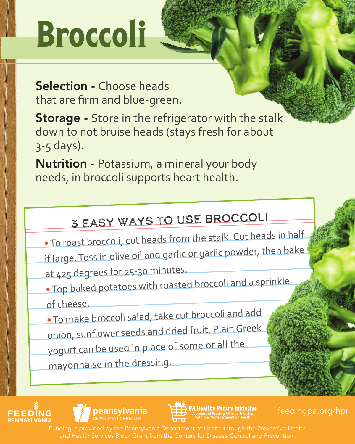# Broccoli

Selection - Choose heads that are firm and blue-green.

**Storage** - Store in the refrigerator with the stalk down to not bruise heads (stays fresh for about 3-5 days).

Nutrition - Potassium, a mineral your body needs, in broccoli supports heart health.

## 3 Easy Ways to Use broccoli

- To roast broccoli, cut heads from the stalk. Cut heads in half if large. Toss in olive oil and garlic or garlic powder, then bake at 425 degrees for 25-30 minutes.
- Top baked potatoes with roasted broccoli and a sprinkle of cheese.

• To make broccoli salad, take cut broccoli and add onion, sunflower seeds and dried fruit. Plain Greek yogurt can be used in place of some or all the mayonnaise in the dressing.







A Healthy Pantry Initiative